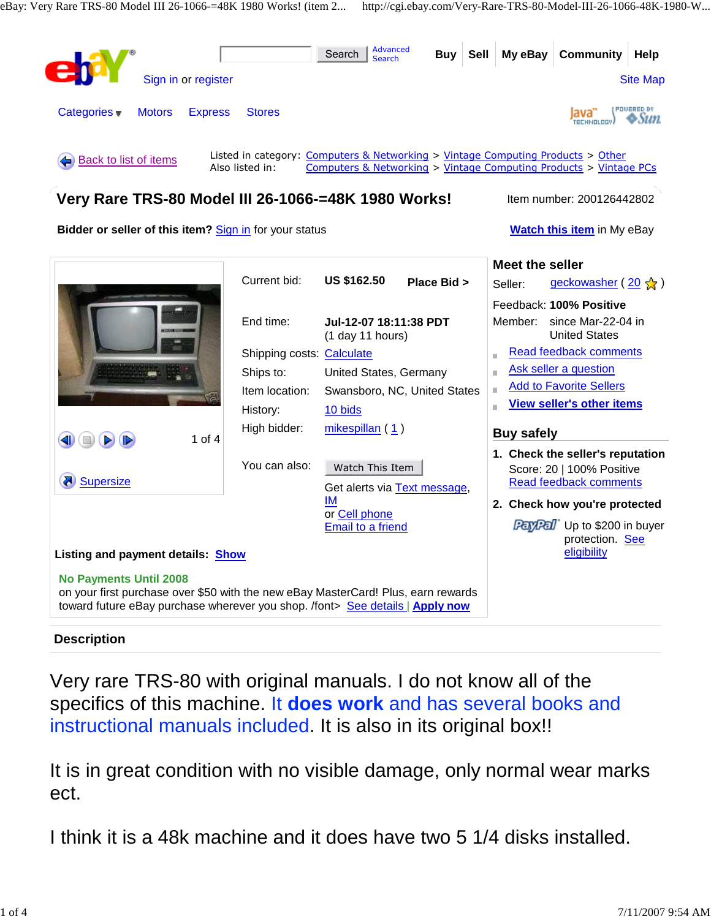

# **Description**

Very rare TRS-80 with original manuals. I do not know all of the specifics of this machine. It **does work** and has several books and instructional manuals included. It is also in its original box!!

It is in great condition with no visible damage, only normal wear marks ect.

I think it is a 48k machine and it does have two 5 1/4 disks installed.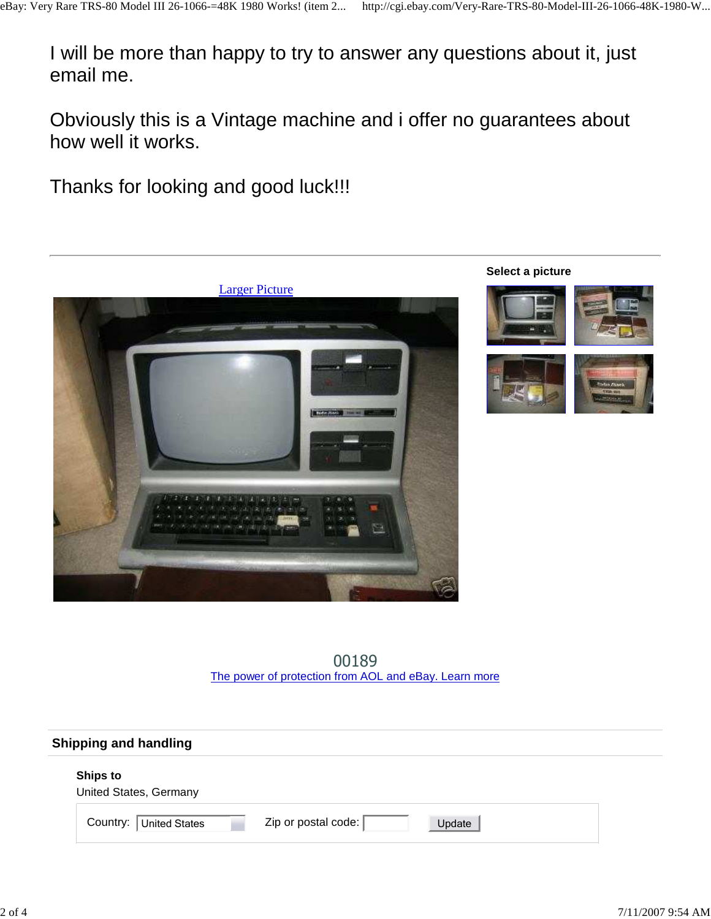I will be more than happy to try to answer any questions about it, just email me.

Obviously this is a Vintage machine and i offer no guarantees about how well it works.

Thanks for looking and good luck!!!



00189 The power of protection from AOL and eBay. Learn more

| <b>Shipping and handling</b>              |                                 |  |  |
|-------------------------------------------|---------------------------------|--|--|
| <b>Ships to</b><br>United States, Germany |                                 |  |  |
| Country:<br>United States                 | Zip or postal code:  <br>Update |  |  |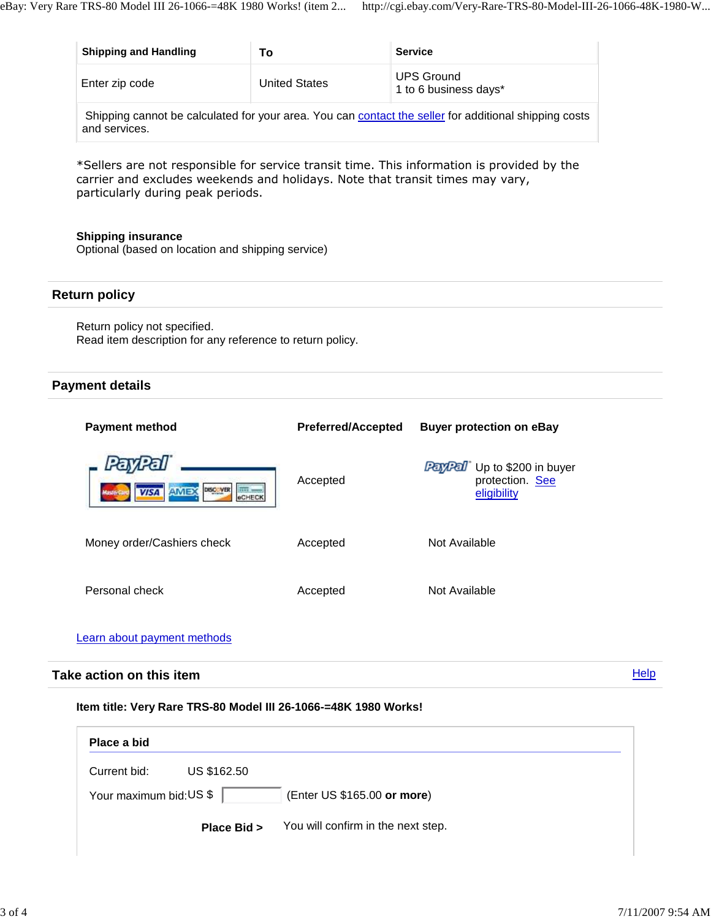| <b>Shipping and Handling</b> | Т٥                   | <b>Service</b>                                                                                        |
|------------------------------|----------------------|-------------------------------------------------------------------------------------------------------|
| Enter zip code               | <b>United States</b> | <b>UPS Ground</b><br>1 to 6 business days*                                                            |
|                              |                      | Shipping cannot be calculated for your area. You can contact the seller for additional shipping costs |

\*Sellers are not responsible for service transit time. This information is provided by the

carrier and excludes weekends and holidays. Note that transit times may vary, particularly during peak periods.

#### **Shipping insurance**

and services.

Optional (based on location and shipping service)

### **Return policy**

Return policy not specified. Read item description for any reference to return policy.

## **Payment details**

| <b>Payment method</b>                                                    | <b>Preferred/Accepted</b> | <b>Buyer protection on eBay</b>                                  |
|--------------------------------------------------------------------------|---------------------------|------------------------------------------------------------------|
| DISC VER<br><b>Burney</b><br><b>AMEX</b><br><b>VISA</b><br><b>eCHECK</b> | Accepted                  | Up to \$200 in buyer<br>PayPal<br>protection. See<br>eligibility |
| Money order/Cashiers check                                               | Accepted                  | Not Available                                                    |
| Personal check                                                           | Accepted                  | Not Available                                                    |

### Learn about payment methods

#### **Help Take action on this item**

#### **Item title: Very Rare TRS-80 Model III 26-1066-=48K 1980 Works!**

| Place a bid                 |                                    |
|-----------------------------|------------------------------------|
| US \$162.50<br>Current bid: |                                    |
| Your maximum bid: US \$     | (Enter US \$165.00 or more)        |
| Place Bid >                 | You will confirm in the next step. |